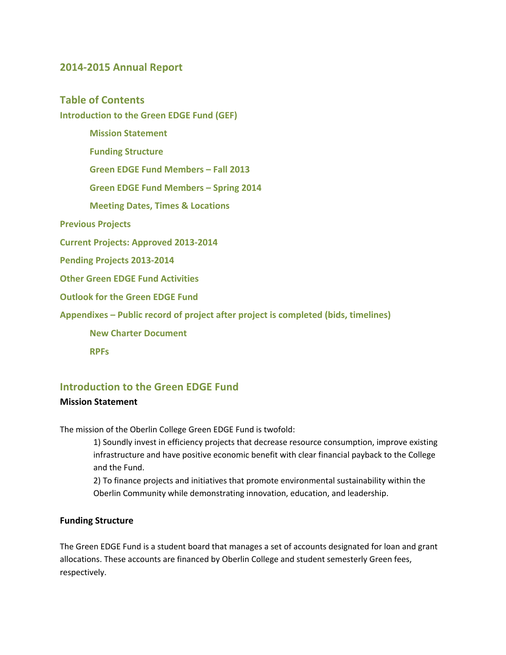### **2014-2015 Annual Report**

### **Table of Contents**

**Introduction to the Green EDGE Fund (GEF)**

 **Mission Statement Funding Structure Green EDGE Fund Members – Fall 2013 Green EDGE Fund Members – Spring 2014 Meeting Dates, Times & Locations Previous Projects Current Projects: Approved 2013-2014 Pending Projects 2013-2014 Other Green EDGE Fund Activities Outlook for the Green EDGE Fund Appendixes – Public record of project after project is completed (bids, timelines) New Charter Document RPFs**

### **Introduction to the Green EDGE Fund**

#### **Mission Statement**

The mission of the Oberlin College Green EDGE Fund is twofold:

1) Soundly invest in efficiency projects that decrease resource consumption, improve existing infrastructure and have positive economic benefit with clear financial payback to the College and the Fund.

2) To finance projects and initiatives that promote environmental sustainability within the Oberlin Community while demonstrating innovation, education, and leadership.

#### **Funding Structure**

The Green EDGE Fund is a student board that manages a set of accounts designated for loan and grant allocations. These accounts are financed by Oberlin College and student semesterly Green fees, respectively.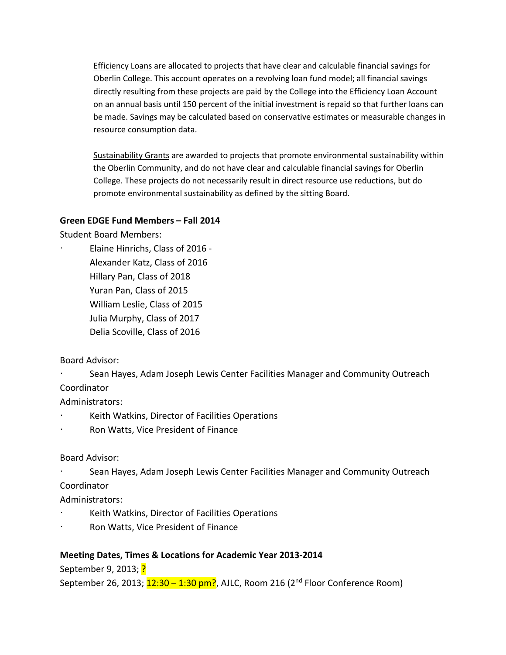Efficiency Loans are allocated to projects that have clear and calculable financial savings for Oberlin College. This account operates on a revolving loan fund model; all financial savings directly resulting from these projects are paid by the College into the Efficiency Loan Account on an annual basis until 150 percent of the initial investment is repaid so that further loans can be made. Savings may be calculated based on conservative estimates or measurable changes in resource consumption data.

Sustainability Grants are awarded to projects that promote environmental sustainability within the Oberlin Community, and do not have clear and calculable financial savings for Oberlin College. These projects do not necessarily result in direct resource use reductions, but do promote environmental sustainability as defined by the sitting Board.

#### **Green EDGE Fund Members – Fall 2014**

Student Board Members:

· Elaine Hinrichs, Class of 2016 - Alexander Katz, Class of 2016 Hillary Pan, Class of 2018 Yuran Pan, Class of 2015 William Leslie, Class of 2015 Julia Murphy, Class of 2017 Delia Scoville, Class of 2016

Board Advisor:

· Sean Hayes, Adam Joseph Lewis Center Facilities Manager and Community Outreach

Coordinator

Administrators:

- Keith Watkins, Director of Facilities Operations
- Ron Watts, Vice President of Finance

Board Advisor:

Sean Hayes, Adam Joseph Lewis Center Facilities Manager and Community Outreach Coordinator

Administrators:

- · Keith Watkins, Director of Facilities Operations
- Ron Watts, Vice President of Finance

### **Meeting Dates, Times & Locations for Academic Year 2013-2014**

September 9, 2013; ?

September 26, 2013;  $12:30 - 1:30$  pm?, AJLC, Room 216 ( $2<sup>nd</sup>$  Floor Conference Room)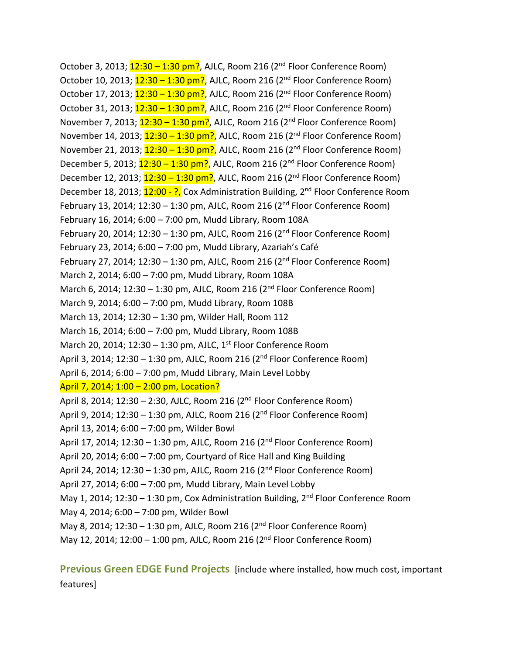October 3, 2013;  $12:30 - 1:30$  pm?, AJLC, Room 216 (2<sup>nd</sup> Floor Conference Room) October 10, 2013;  $12:30 - 1:30$  pm?, AJLC, Room 216 (2<sup>nd</sup> Floor Conference Room) October 17, 2013;  $12:30 - 1:30$  pm?, AJLC, Room 216 (2<sup>nd</sup> Floor Conference Room) October 31, 2013;  $12:30 - 1:30$  pm?, AJLC, Room 216 ( $2<sup>nd</sup>$  Floor Conference Room) November 7, 2013;  $12:30 - 1:30$  pm?, AJLC, Room 216 (2<sup>nd</sup> Floor Conference Room) November 14, 2013;  $12:30 - 1:30$  pm?, AJLC, Room 216 (2<sup>nd</sup> Floor Conference Room) November 21, 2013;  $12:30 - 1:30$  pm?, AJLC, Room 216 (2<sup>nd</sup> Floor Conference Room) December 5, 2013;  $12:30 - 1:30$  pm?, AJLC, Room 216 ( $2<sup>nd</sup>$  Floor Conference Room) December 12, 2013;  $12:30 - 1:30$  pm?, AJLC, Room 216 (2<sup>nd</sup> Floor Conference Room) December 18, 2013; 12:00 - ?, Cox Administration Building, 2<sup>nd</sup> Floor Conference Room February 13, 2014; 12:30 – 1:30 pm, AJLC, Room 216 ( $2<sup>nd</sup>$  Floor Conference Room) February 16, 2014; 6:00 – 7:00 pm, Mudd Library, Room 108A February 20, 2014; 12:30 – 1:30 pm, AJLC, Room 216 ( $2<sup>nd</sup>$  Floor Conference Room) February 23, 2014; 6:00 – 7:00 pm, Mudd Library, Azariah's Café February 27, 2014; 12:30 – 1:30 pm, AJLC, Room 216 ( $2<sup>nd</sup>$  Floor Conference Room) March 2, 2014; 6:00 – 7:00 pm, Mudd Library, Room 108A March 6, 2014; 12:30 – 1:30 pm, AJLC, Room 216 ( $2<sup>nd</sup>$  Floor Conference Room) March 9, 2014; 6:00 – 7:00 pm, Mudd Library, Room 108B March 13, 2014; 12:30 – 1:30 pm, Wilder Hall, Room 112 March 16, 2014; 6:00 – 7:00 pm, Mudd Library, Room 108B March 20, 2014;  $12:30 - 1:30$  pm, AJLC,  $1<sup>st</sup>$  Floor Conference Room April 3, 2014; 12:30 – 1:30 pm, AJLC, Room 216 ( $2<sup>nd</sup>$  Floor Conference Room) April 6, 2014; 6:00 – 7:00 pm, Mudd Library, Main Level Lobby April 7, 2014; 1:00 – 2:00 pm, Location? April 8, 2014; 12:30 – 2:30, AJLC, Room 216 (2nd Floor Conference Room) April 9, 2014; 12:30 – 1:30 pm, AJLC, Room 216 ( $2<sup>nd</sup>$  Floor Conference Room) April 13, 2014; 6:00 – 7:00 pm, Wilder Bowl April 17, 2014; 12:30 – 1:30 pm, AJLC, Room 216 (2<sup>nd</sup> Floor Conference Room) April 20, 2014; 6:00 – 7:00 pm, Courtyard of Rice Hall and King Building April 24, 2014; 12:30 – 1:30 pm, AJLC, Room 216 (2<sup>nd</sup> Floor Conference Room) April 27, 2014; 6:00 – 7:00 pm, Mudd Library, Main Level Lobby May 1, 2014; 12:30 – 1:30 pm, Cox Administration Building,  $2^{nd}$  Floor Conference Room May 4, 2014; 6:00 – 7:00 pm, Wilder Bowl May 8, 2014; 12:30 – 1:30 pm, AJLC, Room 216 ( $2<sup>nd</sup>$  Floor Conference Room) May 12, 2014; 12:00 – 1:00 pm, AJLC, Room 216 (2nd Floor Conference Room)

**Previous Green EDGE Fund Projects** [include where installed, how much cost, important features]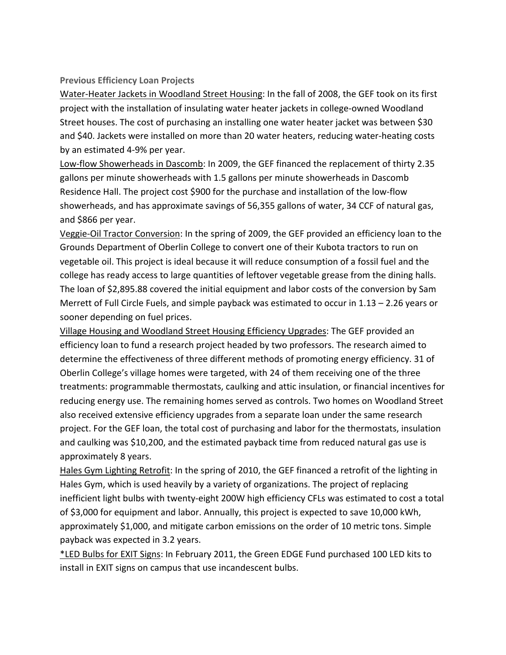#### **Previous Efficiency Loan Projects**

Water-Heater Jackets in Woodland Street Housing: In the fall of 2008, the GEF took on its first project with the installation of insulating water heater jackets in college-owned Woodland Street houses. The cost of purchasing an installing one water heater jacket was between \$30 and \$40. Jackets were installed on more than 20 water heaters, reducing water-heating costs by an estimated 4-9% per year.

Low-flow Showerheads in Dascomb: In 2009, the GEF financed the replacement of thirty 2.35 gallons per minute showerheads with 1.5 gallons per minute showerheads in Dascomb Residence Hall. The project cost \$900 for the purchase and installation of the low-flow showerheads, and has approximate savings of 56,355 gallons of water, 34 CCF of natural gas, and \$866 per year.

Veggie-Oil Tractor Conversion: In the spring of 2009, the GEF provided an efficiency loan to the Grounds Department of Oberlin College to convert one of their Kubota tractors to run on vegetable oil. This project is ideal because it will reduce consumption of a fossil fuel and the college has ready access to large quantities of leftover vegetable grease from the dining halls. The loan of \$2,895.88 covered the initial equipment and labor costs of the conversion by Sam Merrett of Full Circle Fuels, and simple payback was estimated to occur in 1.13 – 2.26 years or sooner depending on fuel prices.

Village Housing and Woodland Street Housing Efficiency Upgrades: The GEF provided an efficiency loan to fund a research project headed by two professors. The research aimed to determine the effectiveness of three different methods of promoting energy efficiency. 31 of Oberlin College's village homes were targeted, with 24 of them receiving one of the three treatments: programmable thermostats, caulking and attic insulation, or financial incentives for reducing energy use. The remaining homes served as controls. Two homes on Woodland Street also received extensive efficiency upgrades from a separate loan under the same research project. For the GEF loan, the total cost of purchasing and labor for the thermostats, insulation and caulking was \$10,200, and the estimated payback time from reduced natural gas use is approximately 8 years.

Hales Gym Lighting Retrofit: In the spring of 2010, the GEF financed a retrofit of the lighting in Hales Gym, which is used heavily by a variety of organizations. The project of replacing inefficient light bulbs with twenty-eight 200W high efficiency CFLs was estimated to cost a total of \$3,000 for equipment and labor. Annually, this project is expected to save 10,000 kWh, approximately \$1,000, and mitigate carbon emissions on the order of 10 metric tons. Simple payback was expected in 3.2 years.

\*LED Bulbs for EXIT Signs: In February 2011, the Green EDGE Fund purchased 100 LED kits to install in EXIT signs on campus that use incandescent bulbs.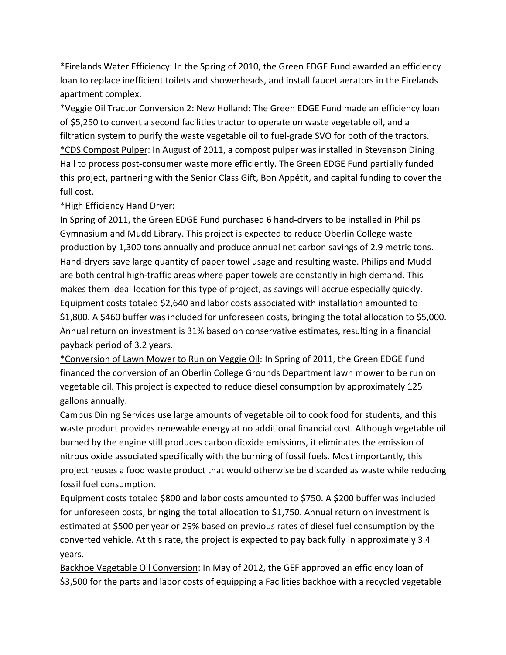\*Firelands Water Efficiency: In the Spring of 2010, the Green EDGE Fund awarded an efficiency loan to replace inefficient toilets and showerheads, and install faucet aerators in the Firelands apartment complex.

\*Veggie Oil Tractor Conversion 2: New Holland: The Green EDGE Fund made an efficiency loan of \$5,250 to convert a second facilities tractor to operate on waste vegetable oil, and a filtration system to purify the waste vegetable oil to fuel-grade SVO for both of the tractors. \*CDS Compost Pulper: In August of 2011, a compost pulper was installed in Stevenson Dining Hall to process post-consumer waste more efficiently. The Green EDGE Fund partially funded this project, partnering with the Senior Class Gift, Bon Appétit, and capital funding to cover the full cost.

#### \*High Efficiency Hand Dryer:

In Spring of 2011, the Green EDGE Fund purchased 6 hand-dryers to be installed in Philips Gymnasium and Mudd Library. This project is expected to reduce Oberlin College waste production by 1,300 tons annually and produce annual net carbon savings of 2.9 metric tons. Hand-dryers save large quantity of paper towel usage and resulting waste. Philips and Mudd are both central high-traffic areas where paper towels are constantly in high demand. This makes them ideal location for this type of project, as savings will accrue especially quickly. Equipment costs totaled \$2,640 and labor costs associated with installation amounted to \$1,800. A \$460 buffer was included for unforeseen costs, bringing the total allocation to \$5,000. Annual return on investment is 31% based on conservative estimates, resulting in a financial payback period of 3.2 years.

\*Conversion of Lawn Mower to Run on Veggie Oil: In Spring of 2011, the Green EDGE Fund financed the conversion of an Oberlin College Grounds Department lawn mower to be run on vegetable oil. This project is expected to reduce diesel consumption by approximately 125 gallons annually.

Campus Dining Services use large amounts of vegetable oil to cook food for students, and this waste product provides renewable energy at no additional financial cost. Although vegetable oil burned by the engine still produces carbon dioxide emissions, it eliminates the emission of nitrous oxide associated specifically with the burning of fossil fuels. Most importantly, this project reuses a food waste product that would otherwise be discarded as waste while reducing fossil fuel consumption.

Equipment costs totaled \$800 and labor costs amounted to \$750. A \$200 buffer was included for unforeseen costs, bringing the total allocation to \$1,750. Annual return on investment is estimated at \$500 per year or 29% based on previous rates of diesel fuel consumption by the converted vehicle. At this rate, the project is expected to pay back fully in approximately 3.4 years.

Backhoe Vegetable Oil Conversion: In May of 2012, the GEF approved an efficiency loan of \$3,500 for the parts and labor costs of equipping a Facilities backhoe with a recycled vegetable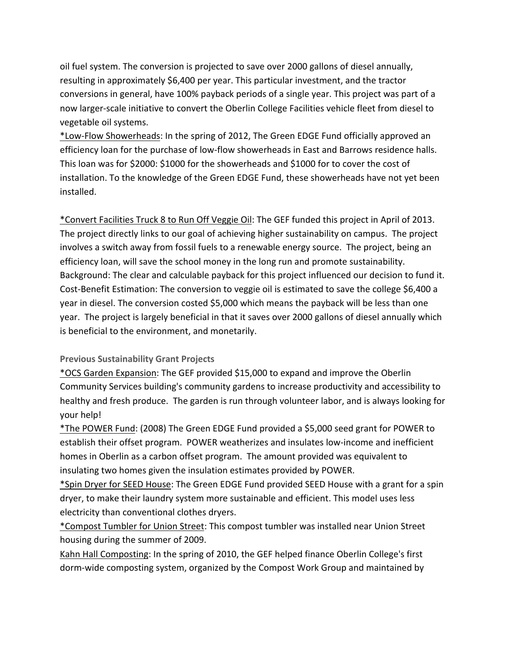oil fuel system. The conversion is projected to save over 2000 gallons of diesel annually, resulting in approximately \$6,400 per year. This particular investment, and the tractor conversions in general, have 100% payback periods of a single year. This project was part of a now larger-scale initiative to convert the Oberlin College Facilities vehicle fleet from diesel to vegetable oil systems.

\*Low-Flow Showerheads: In the spring of 2012, The Green EDGE Fund officially approved an efficiency loan for the purchase of low-flow showerheads in East and Barrows residence halls. This loan was for \$2000: \$1000 for the showerheads and \$1000 for to cover the cost of installation. To the knowledge of the Green EDGE Fund, these showerheads have not yet been installed.

\*Convert Facilities Truck 8 to Run Off Veggie Oil: The GEF funded this project in April of 2013. The project directly links to our goal of achieving higher sustainability on campus. The project involves a switch away from fossil fuels to a renewable energy source. The project, being an efficiency loan, will save the school money in the long run and promote sustainability. Background: The clear and calculable payback for this project influenced our decision to fund it. Cost-Benefit Estimation: The conversion to veggie oil is estimated to save the college \$6,400 a year in diesel. The conversion costed \$5,000 which means the payback will be less than one year. The project is largely beneficial in that it saves over 2000 gallons of diesel annually which is beneficial to the environment, and monetarily.

#### **Previous Sustainability Grant Projects**

\*OCS Garden Expansion: The GEF provided \$15,000 to expand and improve the Oberlin Community Services building's community gardens to increase productivity and accessibility to healthy and fresh produce. The garden is run through volunteer labor, and is always looking for your help!

\*The POWER Fund: (2008) The Green EDGE Fund provided a \$5,000 seed grant for POWER to establish their offset program. POWER weatherizes and insulates low-income and inefficient homes in Oberlin as a carbon offset program. The amount provided was equivalent to insulating two homes given the insulation estimates provided by POWER.

\*Spin Dryer for SEED House: The Green EDGE Fund provided SEED House with a grant for a spin dryer, to make their laundry system more sustainable and efficient. This model uses less electricity than conventional clothes dryers.

\*Compost Tumbler for Union Street: This compost tumbler was installed near Union Street housing during the summer of 2009.

Kahn Hall Composting: In the spring of 2010, the GEF helped finance Oberlin College's first dorm-wide composting system, organized by the Compost Work Group and maintained by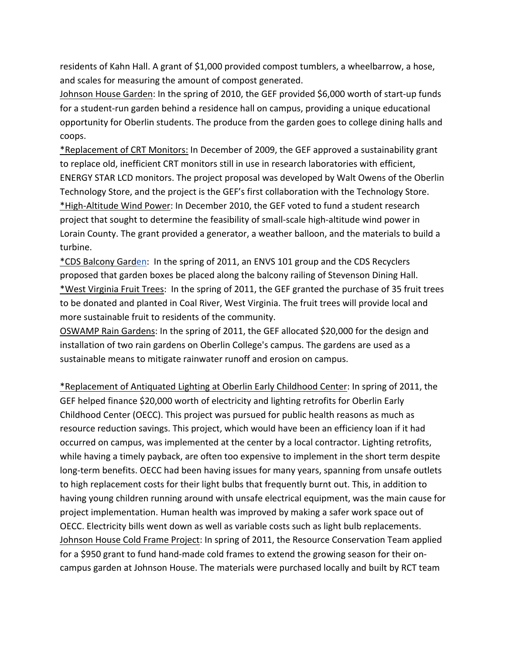residents of Kahn Hall. A grant of \$1,000 provided compost tumblers, a wheelbarrow, a hose, and scales for measuring the amount of compost generated.

Johnson House Garden: In the spring of 2010, the GEF provided \$6,000 worth of start-up funds for a student-run garden behind a residence hall on campus, providing a unique educational opportunity for Oberlin students. The produce from the garden goes to college dining halls and coops.

\*Replacement of CRT Monitors: In December of 2009, the GEF approved a sustainability grant to replace old, inefficient CRT monitors still in use in research laboratories with efficient, ENERGY STAR LCD monitors. The project proposal was developed by Walt Owens of the Oberlin Technology Store, and the project is the GEF's first collaboration with the Technology Store. \*High-Altitude Wind Power: In December 2010, the GEF voted to fund a student research project that sought to determine the feasibility of small-scale high-altitude wind power in Lorain County. The grant provided a generator, a weather balloon, and the materials to build a turbine.

\*CDS Balcony Garden: In the spring of 2011, an ENVS 101 group and the CDS Recyclers proposed that garden boxes be placed along the balcony railing of Stevenson Dining Hall. \*West Virginia Fruit Trees: In the spring of 2011, the GEF granted the purchase of 35 fruit trees to be donated and planted in Coal River, West Virginia. The fruit trees will provide local and more sustainable fruit to residents of the community.

OSWAMP Rain Gardens: In the spring of 2011, the GEF allocated \$20,000 for the design and installation of two rain gardens on Oberlin College's campus. The gardens are used as a sustainable means to mitigate rainwater runoff and erosion on campus.

\*Replacement of Antiquated Lighting at Oberlin Early Childhood Center: In spring of 2011, the GEF helped finance \$20,000 worth of electricity and lighting retrofits for Oberlin Early Childhood Center (OECC). This project was pursued for public health reasons as much as resource reduction savings. This project, which would have been an efficiency loan if it had occurred on campus, was implemented at the center by a local contractor. Lighting retrofits, while having a timely payback, are often too expensive to implement in the short term despite long-term benefits. OECC had been having issues for many years, spanning from unsafe outlets to high replacement costs for their light bulbs that frequently burnt out. This, in addition to having young children running around with unsafe electrical equipment, was the main cause for project implementation. Human health was improved by making a safer work space out of OECC. Electricity bills went down as well as variable costs such as light bulb replacements. Johnson House Cold Frame Project: In spring of 2011, the Resource Conservation Team applied for a \$950 grant to fund hand-made cold frames to extend the growing season for their oncampus garden at Johnson House. The materials were purchased locally and built by RCT team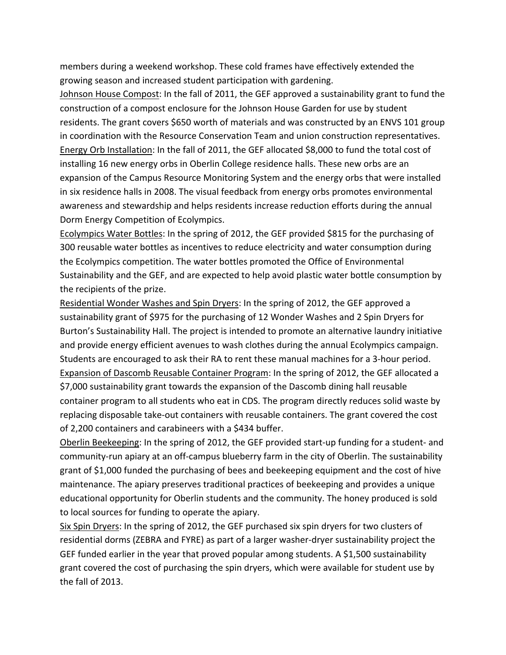members during a weekend workshop. These cold frames have effectively extended the growing season and increased student participation with gardening.

Johnson House Compost: In the fall of 2011, the GEF approved a sustainability grant to fund the construction of a compost enclosure for the Johnson House Garden for use by student residents. The grant covers \$650 worth of materials and was constructed by an ENVS 101 group in coordination with the Resource Conservation Team and union construction representatives. Energy Orb Installation: In the fall of 2011, the GEF allocated \$8,000 to fund the total cost of installing 16 new energy orbs in Oberlin College residence halls. These new orbs are an expansion of the Campus Resource Monitoring System and the energy orbs that were installed in six residence halls in 2008. The visual feedback from energy orbs promotes environmental awareness and stewardship and helps residents increase reduction efforts during the annual Dorm Energy Competition of Ecolympics.

Ecolympics Water Bottles: In the spring of 2012, the GEF provided \$815 for the purchasing of 300 reusable water bottles as incentives to reduce electricity and water consumption during the Ecolympics competition. The water bottles promoted the Office of Environmental Sustainability and the GEF, and are expected to help avoid plastic water bottle consumption by the recipients of the prize.

Residential Wonder Washes and Spin Dryers: In the spring of 2012, the GEF approved a sustainability grant of \$975 for the purchasing of 12 Wonder Washes and 2 Spin Dryers for Burton's Sustainability Hall. The project is intended to promote an alternative laundry initiative and provide energy efficient avenues to wash clothes during the annual Ecolympics campaign. Students are encouraged to ask their RA to rent these manual machines for a 3-hour period. Expansion of Dascomb Reusable Container Program: In the spring of 2012, the GEF allocated a \$7,000 sustainability grant towards the expansion of the Dascomb dining hall reusable container program to all students who eat in CDS. The program directly reduces solid waste by replacing disposable take-out containers with reusable containers. The grant covered the cost of 2,200 containers and carabineers with a \$434 buffer.

Oberlin Beekeeping: In the spring of 2012, the GEF provided start-up funding for a student- and community-run apiary at an off-campus blueberry farm in the city of Oberlin. The sustainability grant of \$1,000 funded the purchasing of bees and beekeeping equipment and the cost of hive maintenance. The apiary preserves traditional practices of beekeeping and provides a unique educational opportunity for Oberlin students and the community. The honey produced is sold to local sources for funding to operate the apiary.

Six Spin Dryers: In the spring of 2012, the GEF purchased six spin dryers for two clusters of residential dorms (ZEBRA and FYRE) as part of a larger washer-dryer sustainability project the GEF funded earlier in the year that proved popular among students. A \$1,500 sustainability grant covered the cost of purchasing the spin dryers, which were available for student use by the fall of 2013.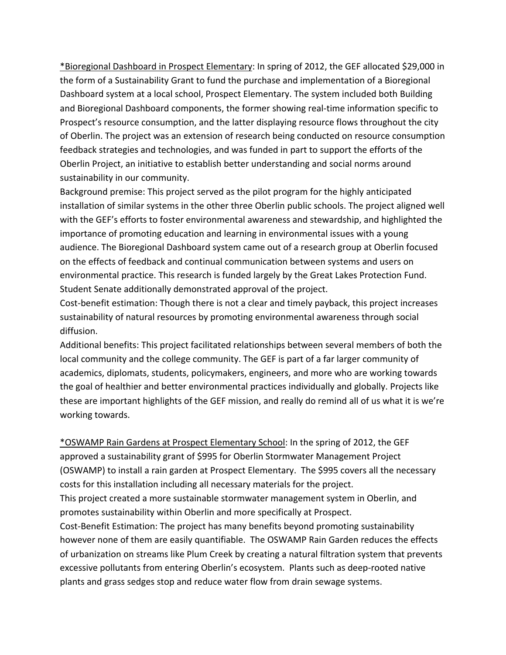\*Bioregional Dashboard in Prospect Elementary: In spring of 2012, the GEF allocated \$29,000 in the form of a Sustainability Grant to fund the purchase and implementation of a Bioregional Dashboard system at a local school, Prospect Elementary. The system included both Building and Bioregional Dashboard components, the former showing real-time information specific to Prospect's resource consumption, and the latter displaying resource flows throughout the city of Oberlin. The project was an extension of research being conducted on resource consumption feedback strategies and technologies, and was funded in part to support the efforts of the Oberlin Project, an initiative to establish better understanding and social norms around sustainability in our community.

Background premise: This project served as the pilot program for the highly anticipated installation of similar systems in the other three Oberlin public schools. The project aligned well with the GEF's efforts to foster environmental awareness and stewardship, and highlighted the importance of promoting education and learning in environmental issues with a young audience. The Bioregional Dashboard system came out of a research group at Oberlin focused on the effects of feedback and continual communication between systems and users on environmental practice. This research is funded largely by the Great Lakes Protection Fund. Student Senate additionally demonstrated approval of the project.

Cost-benefit estimation: Though there is not a clear and timely payback, this project increases sustainability of natural resources by promoting environmental awareness through social diffusion.

Additional benefits: This project facilitated relationships between several members of both the local community and the college community. The GEF is part of a far larger community of academics, diplomats, students, policymakers, engineers, and more who are working towards the goal of healthier and better environmental practices individually and globally. Projects like these are important highlights of the GEF mission, and really do remind all of us what it is we're working towards.

\*OSWAMP Rain Gardens at Prospect Elementary School: In the spring of 2012, the GEF approved a sustainability grant of \$995 for Oberlin Stormwater Management Project (OSWAMP) to install a rain garden at Prospect Elementary. The \$995 covers all the necessary costs for this installation including all necessary materials for the project. This project created a more sustainable stormwater management system in Oberlin, and promotes sustainability within Oberlin and more specifically at Prospect. Cost-Benefit Estimation: The project has many benefits beyond promoting sustainability however none of them are easily quantifiable. The OSWAMP Rain Garden reduces the effects of urbanization on streams like Plum Creek by creating a natural filtration system that prevents excessive pollutants from entering Oberlin's ecosystem. Plants such as deep-rooted native plants and grass sedges stop and reduce water flow from drain sewage systems.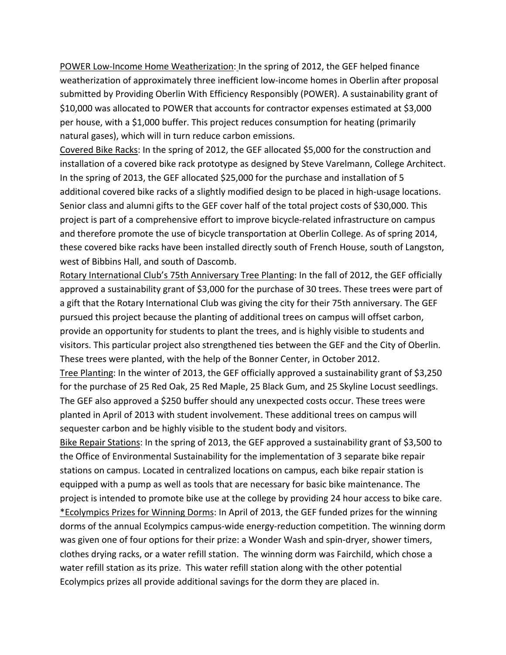POWER Low-Income Home Weatherization: In the spring of 2012, the GEF helped finance weatherization of approximately three inefficient low-income homes in Oberlin after proposal submitted by Providing Oberlin With Efficiency Responsibly (POWER). A sustainability grant of \$10,000 was allocated to POWER that accounts for contractor expenses estimated at \$3,000 per house, with a \$1,000 buffer. This project reduces consumption for heating (primarily natural gases), which will in turn reduce carbon emissions.

Covered Bike Racks: In the spring of 2012, the GEF allocated \$5,000 for the construction and installation of a covered bike rack prototype as designed by Steve Varelmann, College Architect. In the spring of 2013, the GEF allocated \$25,000 for the purchase and installation of 5 additional covered bike racks of a slightly modified design to be placed in high-usage locations. Senior class and alumni gifts to the GEF cover half of the total project costs of \$30,000. This project is part of a comprehensive effort to improve bicycle-related infrastructure on campus and therefore promote the use of bicycle transportation at Oberlin College. As of spring 2014, these covered bike racks have been installed directly south of French House, south of Langston, west of Bibbins Hall, and south of Dascomb.

Rotary International Club's 75th Anniversary Tree Planting: In the fall of 2012, the GEF officially approved a sustainability grant of \$3,000 for the purchase of 30 trees. These trees were part of a gift that the Rotary International Club was giving the city for their 75th anniversary. The GEF pursued this project because the planting of additional trees on campus will offset carbon, provide an opportunity for students to plant the trees, and is highly visible to students and visitors. This particular project also strengthened ties between the GEF and the City of Oberlin. These trees were planted, with the help of the Bonner Center, in October 2012.

Tree Planting: In the winter of 2013, the GEF officially approved a sustainability grant of \$3,250 for the purchase of 25 Red Oak, 25 Red Maple, 25 Black Gum, and 25 Skyline Locust seedlings. The GEF also approved a \$250 buffer should any unexpected costs occur. These trees were planted in April of 2013 with student involvement. These additional trees on campus will sequester carbon and be highly visible to the student body and visitors.

Bike Repair Stations: In the spring of 2013, the GEF approved a sustainability grant of \$3,500 to the Office of Environmental Sustainability for the implementation of 3 separate bike repair stations on campus. Located in centralized locations on campus, each bike repair station is equipped with a pump as well as tools that are necessary for basic bike maintenance. The project is intended to promote bike use at the college by providing 24 hour access to bike care. \*Ecolympics Prizes for Winning Dorms: In April of 2013, the GEF funded prizes for the winning dorms of the annual Ecolympics campus-wide energy-reduction competition. The winning dorm was given one of four options for their prize: a Wonder Wash and spin-dryer, shower timers, clothes drying racks, or a water refill station. The winning dorm was Fairchild, which chose a water refill station as its prize. This water refill station along with the other potential Ecolympics prizes all provide additional savings for the dorm they are placed in.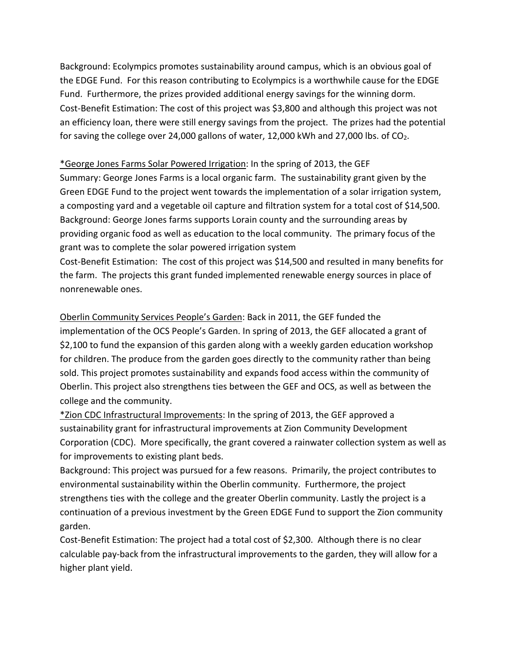Background: Ecolympics promotes sustainability around campus, which is an obvious goal of the EDGE Fund. For this reason contributing to Ecolympics is a worthwhile cause for the EDGE Fund. Furthermore, the prizes provided additional energy savings for the winning dorm. Cost-Benefit Estimation: The cost of this project was \$3,800 and although this project was not an efficiency loan, there were still energy savings from the project. The prizes had the potential for saving the college over 24,000 gallons of water, 12,000 kWh and 27,000 lbs. of  $CO<sub>2</sub>$ .

### \*George Jones Farms Solar Powered Irrigation: In the spring of 2013, the GEF

Summary: George Jones Farms is a local organic farm. The sustainability grant given by the Green EDGE Fund to the project went towards the implementation of a solar irrigation system, a composting yard and a vegetable oil capture and filtration system for a total cost of \$14,500. Background: George Jones farms supports Lorain county and the surrounding areas by providing organic food as well as education to the local community. The primary focus of the grant was to complete the solar powered irrigation system

Cost-Benefit Estimation: The cost of this project was \$14,500 and resulted in many benefits for the farm. The projects this grant funded implemented renewable energy sources in place of nonrenewable ones.

Oberlin Community Services People's Garden: Back in 2011, the GEF funded the implementation of the OCS People's Garden. In spring of 2013, the GEF allocated a grant of \$2,100 to fund the expansion of this garden along with a weekly garden education workshop for children. The produce from the garden goes directly to the community rather than being sold. This project promotes sustainability and expands food access within the community of Oberlin. This project also strengthens ties between the GEF and OCS, as well as between the college and the community.

\*Zion CDC Infrastructural Improvements: In the spring of 2013, the GEF approved a sustainability grant for infrastructural improvements at Zion Community Development Corporation (CDC). More specifically, the grant covered a rainwater collection system as well as for improvements to existing plant beds.

Background: This project was pursued for a few reasons. Primarily, the project contributes to environmental sustainability within the Oberlin community. Furthermore, the project strengthens ties with the college and the greater Oberlin community. Lastly the project is a continuation of a previous investment by the Green EDGE Fund to support the Zion community garden.

Cost-Benefit Estimation: The project had a total cost of \$2,300. Although there is no clear calculable pay-back from the infrastructural improvements to the garden, they will allow for a higher plant yield.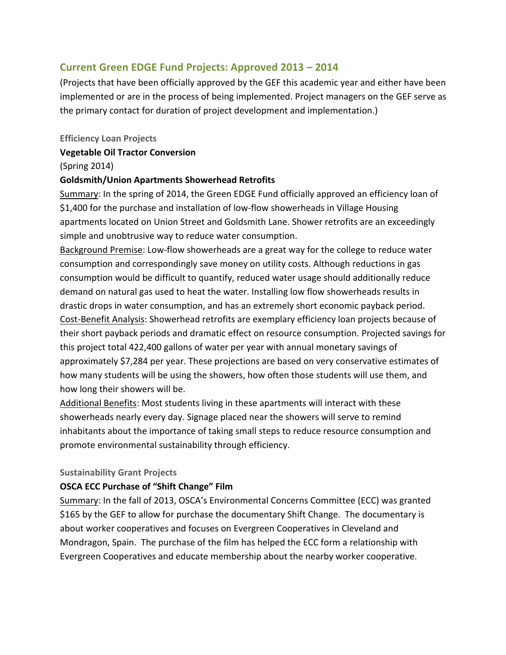## **Current Green EDGE Fund Projects: Approved 2013 – 2014**

(Projects that have been officially approved by the GEF this academic year and either have been implemented or are in the process of being implemented. Project managers on the GEF serve as the primary contact for duration of project development and implementation.)

#### **Efficiency Loan Projects**

### **Vegetable Oil Tractor Conversion**

### (Spring 2014)

### **Goldsmith/Union Apartments Showerhead Retrofits**

Summary: In the spring of 2014, the Green EDGE Fund officially approved an efficiency loan of \$1,400 for the purchase and installation of low-flow showerheads in Village Housing apartments located on Union Street and Goldsmith Lane. Shower retrofits are an exceedingly simple and unobtrusive way to reduce water consumption.

Background Premise: Low-flow showerheads are a great way for the college to reduce water consumption and correspondingly save money on utility costs. Although reductions in gas consumption would be difficult to quantify, reduced water usage should additionally reduce demand on natural gas used to heat the water. Installing low flow showerheads results in drastic drops in water consumption, and has an extremely short economic payback period. Cost-Benefit Analysis: Showerhead retrofits are exemplary efficiency loan projects because of their short payback periods and dramatic effect on resource consumption. Projected savings for this project total 422,400 gallons of water per year with annual monetary savings of approximately \$7,284 per year. These projections are based on very conservative estimates of how many students will be using the showers, how often those students will use them, and how long their showers will be.

Additional Benefits: Most students living in these apartments will interact with these showerheads nearly every day. Signage placed near the showers will serve to remind inhabitants about the importance of taking small steps to reduce resource consumption and promote environmental sustainability through efficiency.

#### **Sustainability Grant Projects**

### **OSCA ECC Purchase of "Shift Change" Film**

Summary: In the fall of 2013, OSCA's Environmental Concerns Committee (ECC) was granted \$165 by the GEF to allow for purchase the documentary Shift Change. The documentary is about worker cooperatives and focuses on Evergreen Cooperatives in Cleveland and Mondragon, Spain. The purchase of the film has helped the ECC form a relationship with Evergreen Cooperatives and educate membership about the nearby worker cooperative.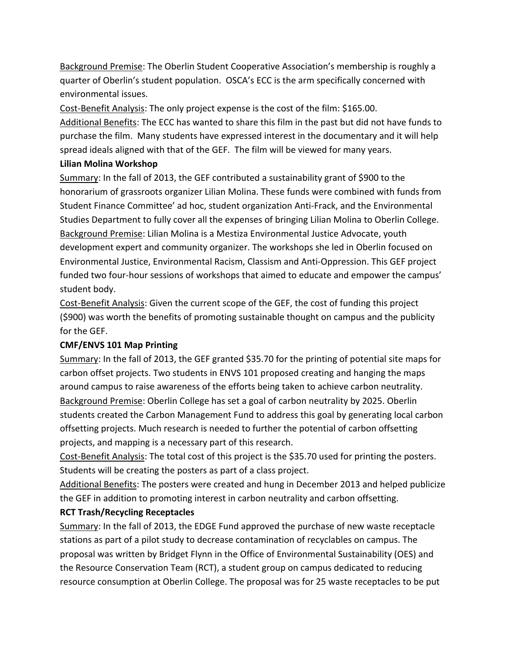Background Premise: The Oberlin Student Cooperative Association's membership is roughly a quarter of Oberlin's student population. OSCA's ECC is the arm specifically concerned with environmental issues.

Cost-Benefit Analysis: The only project expense is the cost of the film: \$165.00. Additional Benefits: The ECC has wanted to share this film in the past but did not have funds to purchase the film. Many students have expressed interest in the documentary and it will help spread ideals aligned with that of the GEF. The film will be viewed for many years.

### **Lilian Molina Workshop**

Summary: In the fall of 2013, the GEF contributed a sustainability grant of \$900 to the honorarium of grassroots organizer Lilian Molina. These funds were combined with funds from Student Finance Committee' ad hoc, student organization Anti-Frack, and the Environmental Studies Department to fully cover all the expenses of bringing Lilian Molina to Oberlin College. Background Premise: Lilian Molina is a Mestiza Environmental Justice Advocate, youth development expert and community organizer. The workshops she led in Oberlin focused on Environmental Justice, Environmental Racism, Classism and Anti-Oppression. This GEF project funded two four-hour sessions of workshops that aimed to educate and empower the campus' student body.

Cost-Benefit Analysis: Given the current scope of the GEF, the cost of funding this project (\$900) was worth the benefits of promoting sustainable thought on campus and the publicity for the GEF.

# **CMF/ENVS 101 Map Printing**

Summary: In the fall of 2013, the GEF granted \$35.70 for the printing of potential site maps for carbon offset projects. Two students in ENVS 101 proposed creating and hanging the maps around campus to raise awareness of the efforts being taken to achieve carbon neutrality. Background Premise: Oberlin College has set a goal of carbon neutrality by 2025. Oberlin students created the Carbon Management Fund to address this goal by generating local carbon offsetting projects. Much research is needed to further the potential of carbon offsetting projects, and mapping is a necessary part of this research.

Cost-Benefit Analysis: The total cost of this project is the \$35.70 used for printing the posters. Students will be creating the posters as part of a class project.

Additional Benefits: The posters were created and hung in December 2013 and helped publicize the GEF in addition to promoting interest in carbon neutrality and carbon offsetting.

# **RCT Trash/Recycling Receptacles**

Summary: In the fall of 2013, the EDGE Fund approved the purchase of new waste receptacle stations as part of a pilot study to decrease contamination of recyclables on campus. The proposal was written by Bridget Flynn in the Office of Environmental Sustainability (OES) and the Resource Conservation Team (RCT), a student group on campus dedicated to reducing resource consumption at Oberlin College. The proposal was for 25 waste receptacles to be put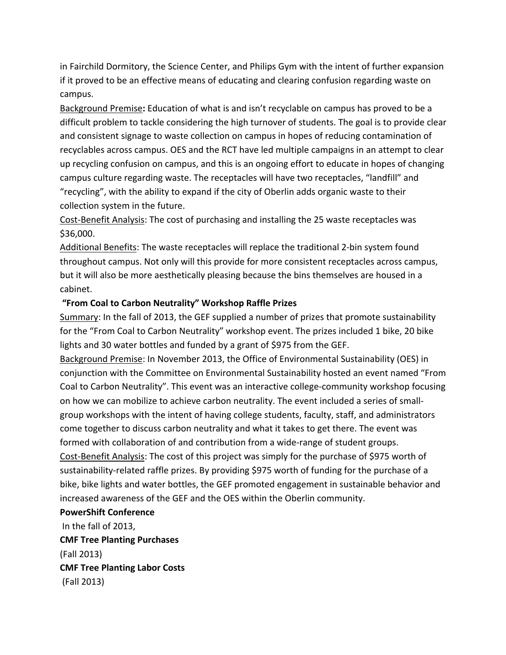in Fairchild Dormitory, the Science Center, and Philips Gym with the intent of further expansion if it proved to be an effective means of educating and clearing confusion regarding waste on campus.

Background Premise**:** Education of what is and isn't recyclable on campus has proved to be a difficult problem to tackle considering the high turnover of students. The goal is to provide clear and consistent signage to waste collection on campus in hopes of reducing contamination of recyclables across campus. OES and the RCT have led multiple campaigns in an attempt to clear up recycling confusion on campus, and this is an ongoing effort to educate in hopes of changing campus culture regarding waste. The receptacles will have two receptacles, "landfill" and "recycling", with the ability to expand if the city of Oberlin adds organic waste to their collection system in the future.

Cost-Benefit Analysis: The cost of purchasing and installing the 25 waste receptacles was \$36,000.

Additional Benefits: The waste receptacles will replace the traditional 2-bin system found throughout campus. Not only will this provide for more consistent receptacles across campus, but it will also be more aesthetically pleasing because the bins themselves are housed in a cabinet.

#### **"From Coal to Carbon Neutrality" Workshop Raffle Prizes**

Summary: In the fall of 2013, the GEF supplied a number of prizes that promote sustainability for the "From Coal to Carbon Neutrality" workshop event. The prizes included 1 bike, 20 bike lights and 30 water bottles and funded by a grant of \$975 from the GEF.

Background Premise: In November 2013, the Office of Environmental Sustainability (OES) in conjunction with the Committee on Environmental Sustainability hosted an event named "From Coal to Carbon Neutrality". This event was an interactive college-community workshop focusing on how we can mobilize to achieve carbon neutrality. The event included a series of smallgroup workshops with the intent of having college students, faculty, staff, and administrators come together to discuss carbon neutrality and what it takes to get there. The event was formed with collaboration of and contribution from a wide-range of student groups. Cost-Benefit Analysis: The cost of this project was simply for the purchase of \$975 worth of sustainability-related raffle prizes. By providing \$975 worth of funding for the purchase of a

bike, bike lights and water bottles, the GEF promoted engagement in sustainable behavior and increased awareness of the GEF and the OES within the Oberlin community.

#### **PowerShift Conference**

In the fall of 2013, **CMF Tree Planting Purchases** (Fall 2013) **CMF Tree Planting Labor Costs** (Fall 2013)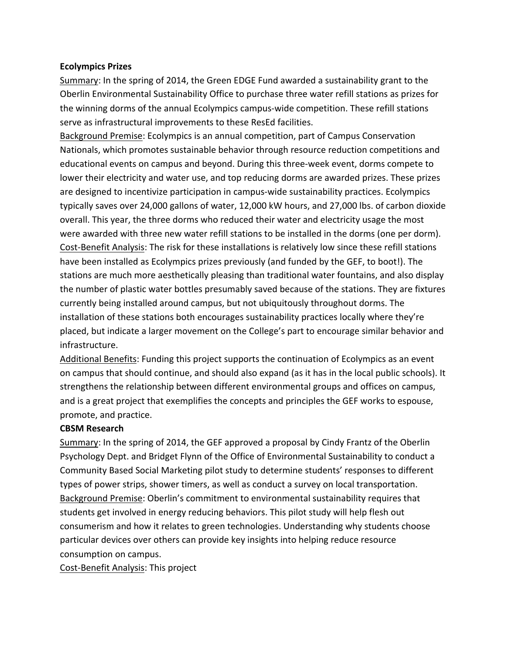#### **Ecolympics Prizes**

Summary: In the spring of 2014, the Green EDGE Fund awarded a sustainability grant to the Oberlin Environmental Sustainability Office to purchase three water refill stations as prizes for the winning dorms of the annual Ecolympics campus-wide competition. These refill stations serve as infrastructural improvements to these ResEd facilities.

Background Premise: Ecolympics is an annual competition, part of Campus Conservation Nationals, which promotes sustainable behavior through resource reduction competitions and educational events on campus and beyond. During this three-week event, dorms compete to lower their electricity and water use, and top reducing dorms are awarded prizes. These prizes are designed to incentivize participation in campus-wide sustainability practices. Ecolympics typically saves over 24,000 gallons of water, 12,000 kW hours, and 27,000 lbs. of carbon dioxide overall. This year, the three dorms who reduced their water and electricity usage the most were awarded with three new water refill stations to be installed in the dorms (one per dorm). Cost-Benefit Analysis: The risk for these installations is relatively low since these refill stations have been installed as Ecolympics prizes previously (and funded by the GEF, to boot!). The stations are much more aesthetically pleasing than traditional water fountains, and also display the number of plastic water bottles presumably saved because of the stations. They are fixtures currently being installed around campus, but not ubiquitously throughout dorms. The installation of these stations both encourages sustainability practices locally where they're placed, but indicate a larger movement on the College's part to encourage similar behavior and infrastructure.

Additional Benefits: Funding this project supports the continuation of Ecolympics as an event on campus that should continue, and should also expand (as it has in the local public schools). It strengthens the relationship between different environmental groups and offices on campus, and is a great project that exemplifies the concepts and principles the GEF works to espouse, promote, and practice.

#### **CBSM Research**

Summary: In the spring of 2014, the GEF approved a proposal by Cindy Frantz of the Oberlin Psychology Dept. and Bridget Flynn of the Office of Environmental Sustainability to conduct a Community Based Social Marketing pilot study to determine students' responses to different types of power strips, shower timers, as well as conduct a survey on local transportation. Background Premise: Oberlin's commitment to environmental sustainability requires that students get involved in energy reducing behaviors. This pilot study will help flesh out consumerism and how it relates to green technologies. Understanding why students choose particular devices over others can provide key insights into helping reduce resource consumption on campus.

Cost-Benefit Analysis: This project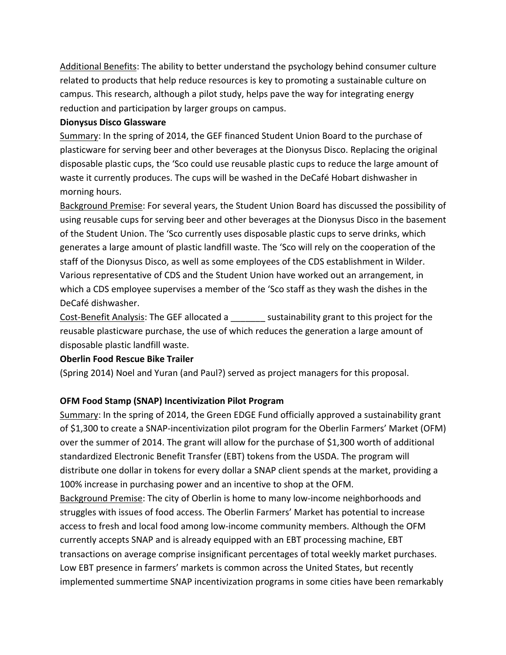Additional Benefits: The ability to better understand the psychology behind consumer culture related to products that help reduce resources is key to promoting a sustainable culture on campus. This research, although a pilot study, helps pave the way for integrating energy reduction and participation by larger groups on campus.

#### **Dionysus Disco Glassware**

Summary: In the spring of 2014, the GEF financed Student Union Board to the purchase of plasticware for serving beer and other beverages at the Dionysus Disco. Replacing the original disposable plastic cups, the 'Sco could use reusable plastic cups to reduce the large amount of waste it currently produces. The cups will be washed in the DeCafé Hobart dishwasher in morning hours.

Background Premise: For several years, the Student Union Board has discussed the possibility of using reusable cups for serving beer and other beverages at the Dionysus Disco in the basement of the Student Union. The 'Sco currently uses disposable plastic cups to serve drinks, which generates a large amount of plastic landfill waste. The 'Sco will rely on the cooperation of the staff of the Dionysus Disco, as well as some employees of the CDS establishment in Wilder. Various representative of CDS and the Student Union have worked out an arrangement, in which a CDS employee supervises a member of the 'Sco staff as they wash the dishes in the DeCafé dishwasher.

Cost-Benefit Analysis: The GEF allocated a \_\_\_\_\_\_\_ sustainability grant to this project for the reusable plasticware purchase, the use of which reduces the generation a large amount of disposable plastic landfill waste.

### **Oberlin Food Rescue Bike Trailer**

(Spring 2014) Noel and Yuran (and Paul?) served as project managers for this proposal.

### **OFM Food Stamp (SNAP) Incentivization Pilot Program**

Summary: In the spring of 2014, the Green EDGE Fund officially approved a sustainability grant of \$1,300 to create a SNAP-incentivization pilot program for the Oberlin Farmers' Market (OFM) over the summer of 2014. The grant will allow for the purchase of \$1,300 worth of additional standardized Electronic Benefit Transfer (EBT) tokens from the USDA. The program will distribute one dollar in tokens for every dollar a SNAP client spends at the market, providing a 100% increase in purchasing power and an incentive to shop at the OFM.

Background Premise: The city of Oberlin is home to many low-income neighborhoods and struggles with issues of food access. The Oberlin Farmers' Market has potential to increase access to fresh and local food among low-income community members. Although the OFM currently accepts SNAP and is already equipped with an EBT processing machine, EBT transactions on average comprise insignificant percentages of total weekly market purchases. Low EBT presence in farmers' markets is common across the United States, but recently implemented summertime SNAP incentivization programs in some cities have been remarkably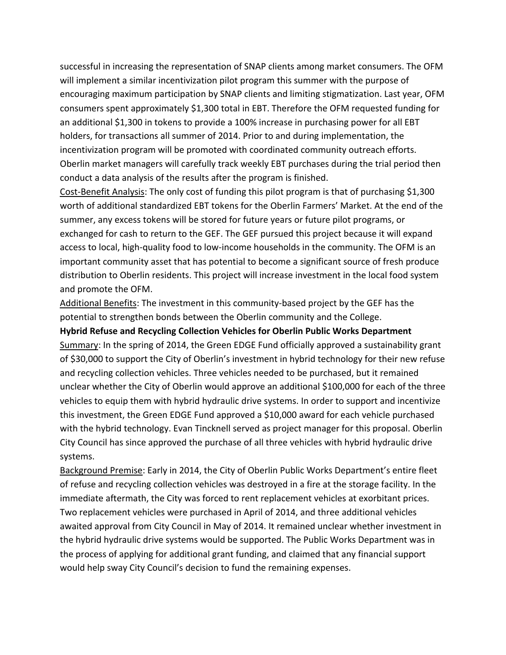successful in increasing the representation of SNAP clients among market consumers. The OFM will implement a similar incentivization pilot program this summer with the purpose of encouraging maximum participation by SNAP clients and limiting stigmatization. Last year, OFM consumers spent approximately \$1,300 total in EBT. Therefore the OFM requested funding for an additional \$1,300 in tokens to provide a 100% increase in purchasing power for all EBT holders, for transactions all summer of 2014. Prior to and during implementation, the incentivization program will be promoted with coordinated community outreach efforts. Oberlin market managers will carefully track weekly EBT purchases during the trial period then conduct a data analysis of the results after the program is finished.

Cost-Benefit Analysis: The only cost of funding this pilot program is that of purchasing \$1,300 worth of additional standardized EBT tokens for the Oberlin Farmers' Market. At the end of the summer, any excess tokens will be stored for future years or future pilot programs, or exchanged for cash to return to the GEF. The GEF pursued this project because it will expand access to local, high-quality food to low-income households in the community. The OFM is an important community asset that has potential to become a significant source of fresh produce distribution to Oberlin residents. This project will increase investment in the local food system and promote the OFM.

Additional Benefits: The investment in this community-based project by the GEF has the potential to strengthen bonds between the Oberlin community and the College.

**Hybrid Refuse and Recycling Collection Vehicles for Oberlin Public Works Department** Summary: In the spring of 2014, the Green EDGE Fund officially approved a sustainability grant of \$30,000 to support the City of Oberlin's investment in hybrid technology for their new refuse and recycling collection vehicles. Three vehicles needed to be purchased, but it remained unclear whether the City of Oberlin would approve an additional \$100,000 for each of the three vehicles to equip them with hybrid hydraulic drive systems. In order to support and incentivize this investment, the Green EDGE Fund approved a \$10,000 award for each vehicle purchased with the hybrid technology. Evan Tincknell served as project manager for this proposal. Oberlin City Council has since approved the purchase of all three vehicles with hybrid hydraulic drive systems.

Background Premise: Early in 2014, the City of Oberlin Public Works Department's entire fleet of refuse and recycling collection vehicles was destroyed in a fire at the storage facility. In the immediate aftermath, the City was forced to rent replacement vehicles at exorbitant prices. Two replacement vehicles were purchased in April of 2014, and three additional vehicles awaited approval from City Council in May of 2014. It remained unclear whether investment in the hybrid hydraulic drive systems would be supported. The Public Works Department was in the process of applying for additional grant funding, and claimed that any financial support would help sway City Council's decision to fund the remaining expenses.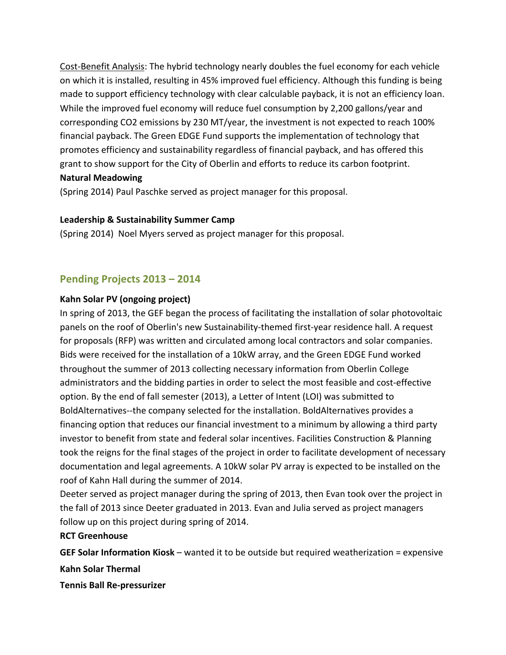Cost-Benefit Analysis: The hybrid technology nearly doubles the fuel economy for each vehicle on which it is installed, resulting in 45% improved fuel efficiency. Although this funding is being made to support efficiency technology with clear calculable payback, it is not an efficiency loan. While the improved fuel economy will reduce fuel consumption by 2,200 gallons/year and corresponding CO2 emissions by 230 MT/year, the investment is not expected to reach 100% financial payback. The Green EDGE Fund supports the implementation of technology that promotes efficiency and sustainability regardless of financial payback, and has offered this grant to show support for the City of Oberlin and efforts to reduce its carbon footprint. **Natural Meadowing**

# (Spring 2014) Paul Paschke served as project manager for this proposal.

#### **Leadership & Sustainability Summer Camp**

(Spring 2014) Noel Myers served as project manager for this proposal.

### **Pending Projects 2013 – 2014**

#### **Kahn Solar PV (ongoing project)**

In spring of 2013, the GEF began the process of facilitating the installation of solar photovoltaic panels on the roof of Oberlin's new Sustainability-themed first-year residence hall. A request for proposals (RFP) was written and circulated among local contractors and solar companies. Bids were received for the installation of a 10kW array, and the Green EDGE Fund worked throughout the summer of 2013 collecting necessary information from Oberlin College administrators and the bidding parties in order to select the most feasible and cost-effective option. By the end of fall semester (2013), a Letter of Intent (LOI) was submitted to BoldAlternatives--the company selected for the installation. BoldAlternatives provides a financing option that reduces our financial investment to a minimum by allowing a third party investor to benefit from state and federal solar incentives. Facilities Construction & Planning took the reigns for the final stages of the project in order to facilitate development of necessary documentation and legal agreements. A 10kW solar PV array is expected to be installed on the roof of Kahn Hall during the summer of 2014.

Deeter served as project manager during the spring of 2013, then Evan took over the project in the fall of 2013 since Deeter graduated in 2013. Evan and Julia served as project managers follow up on this project during spring of 2014.

#### **RCT Greenhouse**

**GEF Solar Information Kiosk** – wanted it to be outside but required weatherization = expensive **Kahn Solar Thermal**

**Tennis Ball Re-pressurizer**